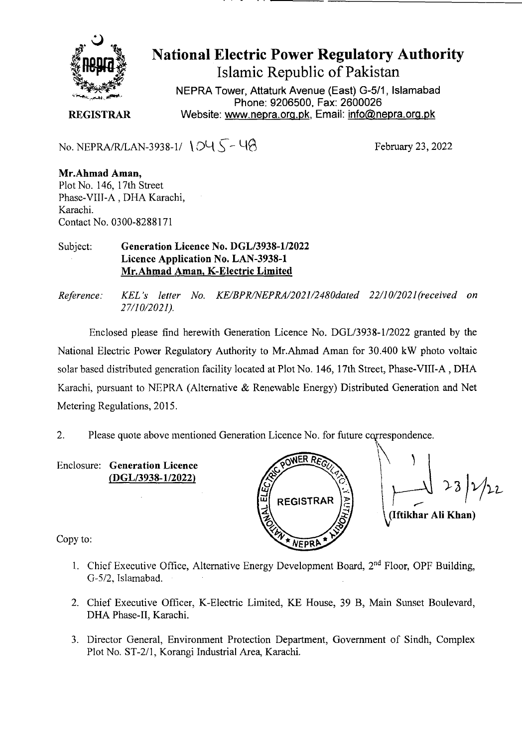

National Electric Power Regulatory Authority Islamic Republic of Pakistan

**NEPRA Tower, Attaturk Avenue (East) G-511, Islamabad Phone: 9206500, Fax: 2600026 REGISTRAR** Website: www.nepra.org.pk, Email: info@nepra.org.pk

No. NEPRA/R/LAN-3938-1/  $\bigcirc\bigcirc\bigcirc\bigcirc$  -  $\bigcirc\bigcirc$  -  $\bigcirc\bigcirc$  February 23, 2022

**Mr.Ahmad Aman,**  Plot No. 146, 17th Street Phase-VIII-A , DHA Karachi, Karachi. Contact No. 0300-8288171

Subject: **Generation Licence** No. DGL/3938-1/2022 Licence Application No. LAN-3938-1 Mr.Ahmad **Aman,** K**-Electric Limited** 

*Reference. KEL 's letter No. KE/BPR/NEPRA/2021/2480dated 22/10/2021(received on 2 7/1 0/2021).* 

Enclosed please find herewith Generation Licence No. DGL/3938-1/2022 granted by the National Electric Power Regulatory Authority to Mr.Ahmad Aman for 30.400 kW photo voltaic solar based distributed generation facility located at Plot No. 146, 17th Street, Phase-VIII-A , DHA Karachi, pursuant to NEPRA (Alternative & Renewable Energy) Distributed Generation and Net Metering Regulations, 2015.

2. Please quote above mentioned Generation Licence No. for future correspondence.

Enclosure: **Generation Licence**  *(DGL/3* 938-1/2022)



(Iftikhar Ali Khan)

Copy to:

- 1. Chief Executive Office, Alternative Energy Development Board, 2<sup>nd</sup> Floor, OPF Building, 0-5/2, Islamabad.
- 2. Chief Executive Officer, K-Electric Limited, KE House, 39 B, Main Sunset Boulevard, DHA Phase-Il, Karachi.
- 3. Director General, Environment Protection Department, Government of Sindh, Complex Plot No. ST-2/1, Korangi Industrial Area, Karachi.